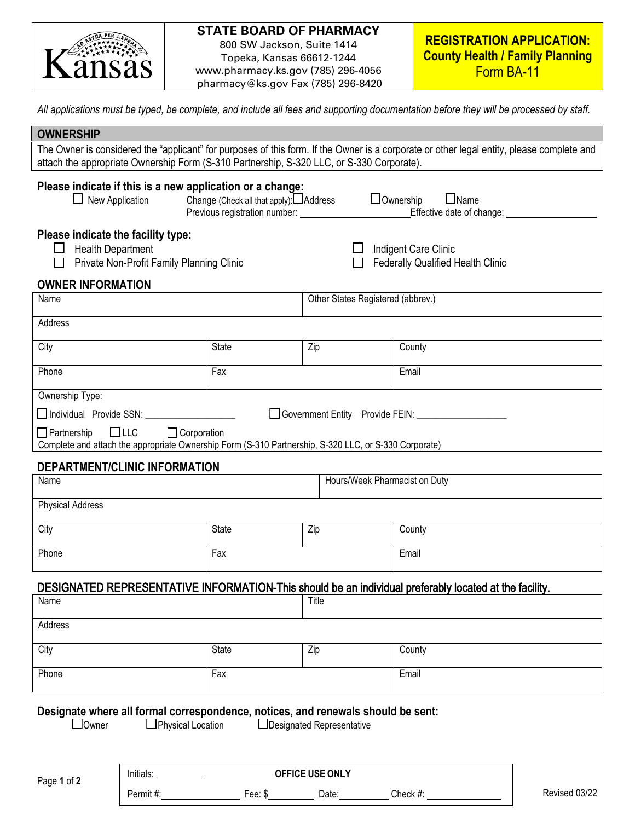

# **STATE BOARD OF PHARMACY**

800 SW Jackson, Suite 1414 Topeka, Kansas 66612-1244 www.pharmacy.ks.gov (785) 296-4056 pharmacy@ks.gov Fax (785) 296-8420

*All applications must be typed, be complete, and include all fees and supporting documentation before they will be processed by staff.* 

| <b>OWNERSHIP</b>                                                                                                                                                                                                                       |                               |                                                                  |                                                  |  |  |
|----------------------------------------------------------------------------------------------------------------------------------------------------------------------------------------------------------------------------------------|-------------------------------|------------------------------------------------------------------|--------------------------------------------------|--|--|
| The Owner is considered the "applicant" for purposes of this form. If the Owner is a corporate or other legal entity, please complete and<br>attach the appropriate Ownership Form (S-310 Partnership, S-320 LLC, or S-330 Corporate). |                               |                                                                  |                                                  |  |  |
| Please indicate if this is a new application or a change:<br>$\Box$ Ownership<br>Change (Check all that apply): Address<br>$\Box$ Name<br>$\Box$ New Application<br>Effective date of change: __________                               |                               |                                                                  |                                                  |  |  |
| Please indicate the facility type:<br><b>Health Department</b><br>L L<br>Private Non-Profit Family Planning Clinic                                                                                                                     |                               | Indigent Care Clinic<br><b>Federally Qualified Health Clinic</b> |                                                  |  |  |
| <b>OWNER INFORMATION</b>                                                                                                                                                                                                               |                               |                                                                  |                                                  |  |  |
| Name                                                                                                                                                                                                                                   |                               | Other States Registered (abbrev.)                                |                                                  |  |  |
| Address                                                                                                                                                                                                                                |                               |                                                                  |                                                  |  |  |
| City                                                                                                                                                                                                                                   | State                         | Zip                                                              | County                                           |  |  |
| Phone                                                                                                                                                                                                                                  | Fax                           |                                                                  | Email                                            |  |  |
| Ownership Type:                                                                                                                                                                                                                        |                               |                                                                  |                                                  |  |  |
| Individual Provide SSN: 1994                                                                                                                                                                                                           |                               |                                                                  | Government Entity Provide FEIN: ________________ |  |  |
| $\Box$ Corporation<br>$\Box$ LLC<br>$\Box$ Partnership<br>Complete and attach the appropriate Ownership Form (S-310 Partnership, S-320 LLC, or S-330 Corporate)                                                                        |                               |                                                                  |                                                  |  |  |
| DEPARTMENT/CLINIC INFORMATION                                                                                                                                                                                                          |                               |                                                                  |                                                  |  |  |
| Name                                                                                                                                                                                                                                   | Hours/Week Pharmacist on Duty |                                                                  |                                                  |  |  |
| <b>Physical Address</b>                                                                                                                                                                                                                |                               |                                                                  |                                                  |  |  |
| City                                                                                                                                                                                                                                   | State                         | Zip                                                              | County                                           |  |  |
| Phone                                                                                                                                                                                                                                  | Fax                           |                                                                  | Email                                            |  |  |
| DESIGNATED REPRESENTATIVE INFORMATION-This should be an individual preferably located at the facility.                                                                                                                                 |                               |                                                                  |                                                  |  |  |
| Name                                                                                                                                                                                                                                   |                               | Title                                                            |                                                  |  |  |
| Address                                                                                                                                                                                                                                |                               |                                                                  |                                                  |  |  |
| City                                                                                                                                                                                                                                   | <b>State</b>                  | Zip                                                              | County                                           |  |  |
| Phone                                                                                                                                                                                                                                  | Fax                           |                                                                  | Email                                            |  |  |
| Designate where all formal correspondence, notices, and renewals should be sent:<br>$\Box$ Owner<br>$\Box$ Physical Location<br>LDesignated Representative<br>Initials:<br>OFFICE USE ONLY                                             |                               |                                                                  |                                                  |  |  |

Permit #: Fee: \$ Date: Check #: